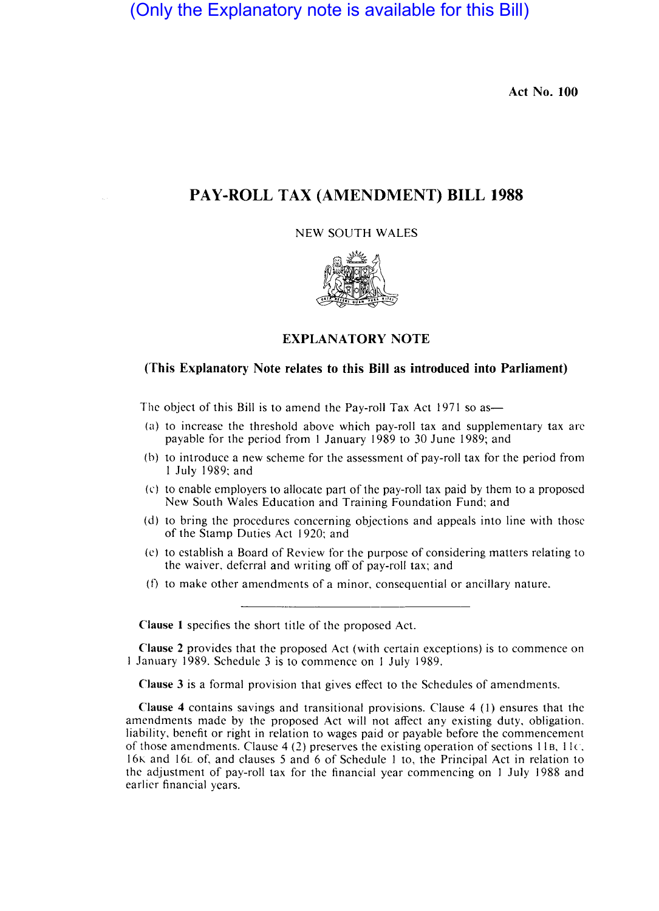(Only the Explanatory note is available for this Bill)

Act No. 100

# PAY-ROLL TAX (AMENDMENT) BILL 1988

NEW SOUTH WALES



## EXPLANATORY NOTE

### (This Explanatory Note relates to this Bill as introduced into Parliament)

The object of this Bill is to amend the Pay-roll Tax Act 1971 so as-

- (a) to increase the threshold above which pay-roll tax and supplementary tax arc payable for the period from I January 1989 to 30 June 1989; and
- (b) to introduce a new scheme for the assessment of pay-roll tax for the period from I July 1989; and
- (c) to enable employers to allocate part of the pay-roll tax paid by them to a proposed New South Wales Education and Training Foundation Fund; and
- (d) to bring the procedures concerning objections and appeals into line with those of the Stamp Duties Act 1920; and
- (c) to establish a Board of Review for the purpose of considering matters relating to the waiver, deferral and writing off of pay-roll tax; and
- (I) to make other amendments of a minor, consequential or ancillary nature.

Clause I specifies the short title of the proposed Act.

Clause 2 provides that the proposed Act (with certain exceptions) is to commence on I January 1989. Schedule 3 is to commence on I July 1989.

Clause 3 is a formal provision that gives effect to the Schedules of amendments.

Clause 4 contains savings and transitional provisions. Clause 4 (I) ensures that the amendments made by the proposed Act will not affect any existing duty, obligation. liability, benefit or right in relation to wages paid or payable before the commencement of those amendments. Clause 4 (2) preserves the existing operation of sections 11B, 11 $\epsilon$ . 16K and 16L of, and clauses 5 and 6 of Schedule I to, the Principal Act in relation to the adjustment of pay-roll tax for the financial year commencing on I July 1988 and earlier financial years.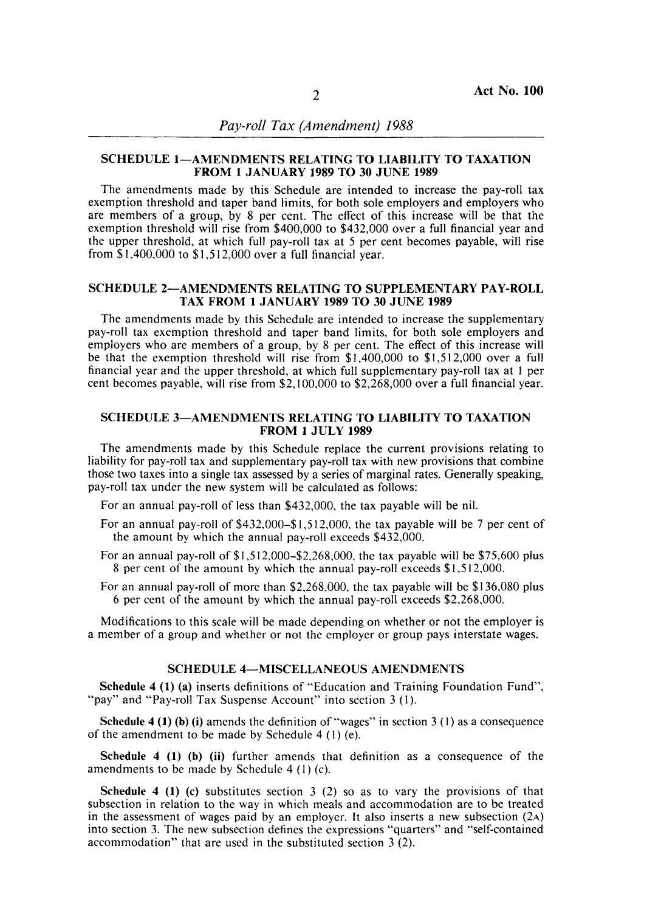### SCHEDULE 1-AMENDMENTS RELATING TO LIABILITY TO TAXATION FROM 1 JANUARY 1989 TO 30 JUNE 1989

The amendments made by this Schedule are intended to increase the pay-roll tax exemption threshold and taper band limits, for both sole employers and employers who are members of a group, by 8 per ent. The effect of this increase will be that the exemption threshold will rise from \$400,000 to \$432,000 over a full financial year and the upper threshold, at which full pay-roll tax at 5 per cent becomes payable, will rise from  $$1,400,000$  to  $$1,512,000$  over a full financial year.

#### SCHEDULE 2-AMENDMENTS RELATING TO SUPPLEMENTARY PAY-ROLL TAX FROM 1 JANUARY 1989 TO 30 JUNE 1989

The amendments made by this Schedule are intended to increase the supplementary pay-roll tax exemption threshold and taper band limits, for both sole employers and employers who are members of a group, by 8 per cent. The effect of this increase will be that the exemption threshold will rise from \$1,400,000 to \$1,512,000 over a full financial year and the upper threshold, at which full supplementary pay-roll tax at 1 per cent becomes payable, will rise from \$2,100,000 to \$2,268,000 over a full financial year.

### SCHEDULE 3-AMENDMENTS RELATING TO LIABILITY TO TAXATION **FROM 1 JULY 1989**

The amendments made by this Schedule replace the current provisions relating to liability for pay-roll tax and supplementary pay-roll tax with new provisions that combine those two taxes into a single tax assessed by a series of marginal rates. Generally speaking, pay-roll tax under the new system will be calculated as follows:

For an annual pay-roll of less than \$432,000, the tax payable will be nil.

- For an annual pay-roll of  $$432,000-$1,512,000$ , the tax payable will be 7 per cent of the amount by which the annual pay-roll exceeds \$432,000.
- For an annual pay-roll of \$1,512,000-\$2,268,000, the tax payable will be \$75,600 plus 8 per cent of the amount by which the annual pay-roll exceeds  $$1,512,000$ .
- For an annual pay-roll of more than \$2,268,000, the tax payable will be \$136,080 plus 6 per cent of the amount by which the annual pay-roll exceeds  $$2,268,000$ .

Modifications to this scale will be made depending on whether or not the employer is a member of a group and whether or not the employer or group pays interstate wages.

#### SCHEDULE 4-MISCELLANEOUS AMENDMENTS

Schedule 4 (1) (a) inserts definitions of "Education and Training Foundation Fund", "pay" and "Pay-roll Tax Suspense Account" into section 3 (1).

Schedule 4 (1) (b) (i) amends the definition of "wages" in section 3 (1) as a consequence of the amendment to be made by Schedule  $4 (1) (e)$ .

Schedule 4 (1) (b) (ii) further amends that definition as a consequence of the amendments to be made by Schedule  $4(1)(c)$ .

**Schedule 4 (1) (c)** substitutes section 3 (2) so as to vary the provisions of that be section in relation to the way in which meals and accommodation are to be treated the assessment of wages paid by an employer. It also subsection in relation to the way in which meals and accommodation are to be treated in the assessment of wages paid by an employer. It also inserts a new subsection  $(2A)$ into section 3. The new subsection defines the expressions "quarters" and "self-contained accommodation" that are used in the substituted section  $3(2)$ .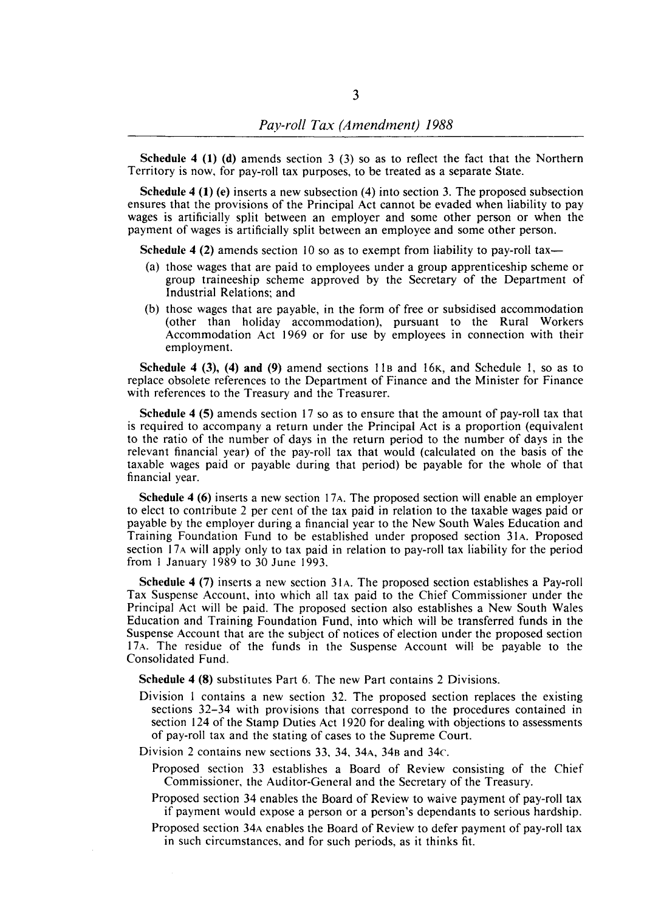Schedule 4 (1) (d) amends section 3 (3) so as to reflect the fact that the Northern Territory is now, for pay-roll tax purposes, to be treated as a separate State.

Schedule 4 (1) (e) inserts a new subsection (4) into section 3. The proposed subsection ensures that the provisions of the Principal Act cannot be evaded when liability to pay wages is artificially split between an employer and some other person or when the payment of wages is artificially split between an employee and some other person.

Schedule 4 (2) amends section 10 so as to exempt from liability to pay-roll tax-

- (a) those wages that are paid to employees under a group apprenticeship scheme or group traineeship scheme approved by the Secretary of the Department of Industrial Relations; and
- (b) those wages that are payable, in the form of free or subsidised accommodation (other than holiday accommodation), pursuant to the Rural Workers Accommodation Act 1969 or for use by employees in connection with their employment.

Schedule 4 (3), (4) **and** (9) amend sections liB and 16K, and Schedule I, so as to replace obsolete references to the Department of Finance and the Minister for Finance with references to the Treasury and the Treasurer.

Schedule 4 (5) amends section 17 so as to ensure that the amount of pay-roll tax that is required to accompany a return under the Principal Act is a proportion (equivalent to the ratio of the number of days in the return period to the number of days in the relevant financial year) of the pay-roll tax that would (calculated on the basis of the taxable wages paid or payable during that period) be payable for the whole of that financial year.

Schedule 4 (6) inserts a new section 17<sub>A</sub>. The proposed section will enable an employer to elect to contribute 2 per cent of the tax paid in relation to the taxable wages paid or payable by the employer during a financial year to the New South Wales Education and Training Foundation Fund to be established under proposed section 31A. Proposed section 17 A will apply only to tax paid in relation to pay-roll tax liability for the period from I January 1989 to 30 June 1993.

Schedule 4 (7) inserts a new section 31A. The proposed section establishes a Pay-roll Tax Suspense Account, into which all tax paid to the Chief Commissioner under the Principal Act will be paid. The proposed section also establishes a New South Wales Education and Training Foundation Fund, into which will be transferred funds in the Suspense Account that are the subject of notices of election under the proposed section 17A. The residue of the funds in the Suspense Account will be payable to the Consolidated Fund.

Schedule 4 (8) substitutes Part 6. The new Part contains 2 Divisions.

- Division I contains a new section 32. The proposed section replaces the existing sections 32-34 with provisions that correspond to the procedures contained in section 124 of the Stamp Duties Act 1920 for dealing with objections to assessments of pay-roll tax and the stating of cases to the Supreme Court.
- Division 2 contains new sections 33, 34, 34A, 34B and 34c.
	- Proposed section 33 establishes a Board of Review consisting of the Chief Commissioner, the Auditor-General and the Secretary of the Treasury.
	- Proposed section 34 enables the Board of Review to waive payment of pay-roll tax if payment would expose a person or a person's dependants to serious hardship.
	- Proposed section 34A enables the Board of Review to defer payment of pay-roll tax in such circumstances, and for such periods, as it thinks fit.